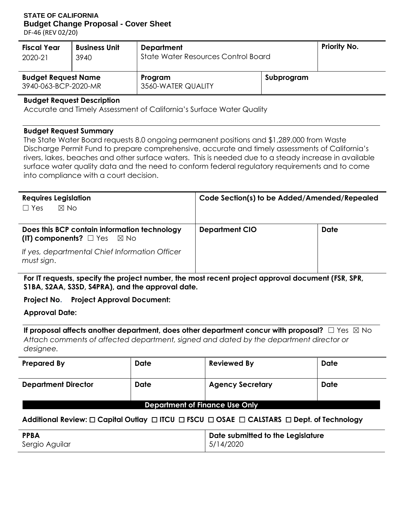# **STATE OF CALIFORNIA Budget Change Proposal - Cover Sheet**

DF-46 (REV 02/20)

| <b>Fiscal Year</b> | <b>Business Unit</b>                                                                              | <b>Department</b>                   |  | <b>Priority No.</b> |
|--------------------|---------------------------------------------------------------------------------------------------|-------------------------------------|--|---------------------|
| 2020-21            | 3940                                                                                              | State Water Resources Control Board |  |                     |
|                    | <b>Budget Request Name</b><br>Subprogram<br>Program<br>3940-063-BCP-2020-MR<br>3560-WATER QUALITY |                                     |  |                     |

#### **Budget Request Description**

Accurate and Timely Assessment of California's Surface Water Quality

#### **Budget Request Summary**

The State Water Board requests 8.0 ongoing permanent positions and \$1,289,000 from Waste Discharge Permit Fund to prepare comprehensive, accurate and timely assessments of California's rivers, lakes, beaches and other surface waters. This is needed due to a steady increase in available surface water quality data and the need to conform federal regulatory requirements and to come into compliance with a court decision.

| <b>Requires Legislation</b>                                                            | Code Section(s) to be Added/Amended/Repealed |             |  |  |  |
|----------------------------------------------------------------------------------------|----------------------------------------------|-------------|--|--|--|
| $\boxtimes$ No<br>$\Box$ Yes                                                           |                                              |             |  |  |  |
| Does this BCP contain information technology<br>(IT) components? $\square$ Yes<br>⊠ No | <b>Department CIO</b>                        | <b>Date</b> |  |  |  |
| If yes, departmental Chief Information Officer<br>must sign.                           |                                              |             |  |  |  |

**For IT requests, specify the project number, the most recent project approval document (FSR, SPR, S1BA, S2AA, S3SD, S4PRA), and the approval date.** 

### **Project No. Project Approval Document:**

**Approval Date:**

**If proposal affects another department, does other department concur with proposal?** □ Yes ⊠ No *Attach comments of affected department, signed and dated by the department director or designee.* 

| <b>Prepared By</b>                        | <b>Date</b> | <b>Reviewed By</b>      | <b>Date</b> |  |  |  |  |
|-------------------------------------------|-------------|-------------------------|-------------|--|--|--|--|
| <b>Date</b><br><b>Department Director</b> |             | <b>Agency Secretary</b> | <b>Date</b> |  |  |  |  |
| Donartmont of Einanco Ilso Only           |             |                         |             |  |  |  |  |

### **Department of Finance Use Only**

# **Additional Review:** ☐ **Capital Outlay** ☐ **ITCU** ☐ **FSCU** ☐ **OSAE** ☐ **CALSTARS** ☐ **Dept. of Technology**

| <b>PPBA</b>    | Date submitted to the Legislature |
|----------------|-----------------------------------|
| Sergio Aguilar | 5/14/2020                         |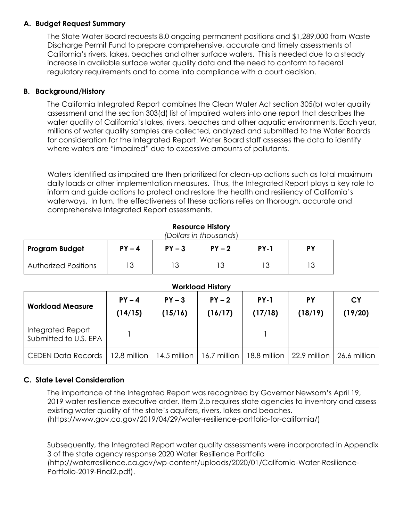# **A. Budget Request Summary**

The State Water Board requests 8.0 ongoing permanent positions and \$1,289,000 from Waste Discharge Permit Fund to prepare comprehensive, accurate and timely assessments of California's rivers, lakes, beaches and other surface waters. This is needed due to a steady increase in available surface water quality data and the need to conform to federal regulatory requirements and to come into compliance with a court decision.

## **B. Background/History**

The California Integrated Report combines the Clean Water Act section 305(b) water quality assessment and the section 303(d) list of impaired waters into one report that describes the water quality of California's lakes, rivers, beaches and other aquatic environments. Each year, millions of water quality samples are collected, analyzed and submitted to the Water Boards for consideration for the Integrated Report. Water Board staff assesses the data to identify where waters are "impaired" due to excessive amounts of pollutants.

Waters identified as impaired are then prioritized for clean-up actions such as total maximum daily loads or other implementation measures. Thus, the Integrated Report plays a key role to inform and guide actions to protect and restore the health and resiliency of California's waterways. In turn, the effectiveness of these actions relies on thorough, accurate and comprehensive Integrated Report assessments.

| (Dollars in thousands)      |          |          |          |             |    |  |  |  |  |
|-----------------------------|----------|----------|----------|-------------|----|--|--|--|--|
| <b>Program Budget</b>       | $PY - 4$ | $PY - 3$ | $PY - 2$ | <b>PY-1</b> | PΥ |  |  |  |  |
| <b>Authorized Positions</b> | 13       |          |          |             |    |  |  |  |  |

### **Resource History**

#### **Workload History**

| <b>Workload Measure</b>                    | $PY - 4$<br>(14/15) | $PY - 3$<br>(15/16)                                                      | $PY - 2$<br>(16/17) | <b>PY-1</b><br>(17/18) | <b>PY</b><br>(18/19) | СY<br>(19/20)  |
|--------------------------------------------|---------------------|--------------------------------------------------------------------------|---------------------|------------------------|----------------------|----------------|
| Integrated Report<br>Submitted to U.S. EPA |                     |                                                                          |                     |                        |                      |                |
| CEDEN Data Records                         |                     | 12.8 million   14.5 million   16.7 million   18.8 million   22.9 million |                     |                        |                      | 26.6 million 1 |

### **C. State Level Consideration**

The importance of the Integrated Report was recognized by Governor Newsom's April 19, 2019 water resilience executive order. Item 2.b requires state agencies to inventory and assess existing water quality of the state's aquifers, rivers, lakes and beaches. (https://www.gov.ca.gov/2019/04/29/water-resilience-portfolio-for-california/)

Subsequently, the Integrated Report water quality assessments were incorporated in Appendix 3 of the state agency response 2020 Water Resilience Portfolio (http://waterresilience.ca.gov/wp-content/uploads/2020/01/California-Water-Resilience-Portfolio-2019-Final2.pdf).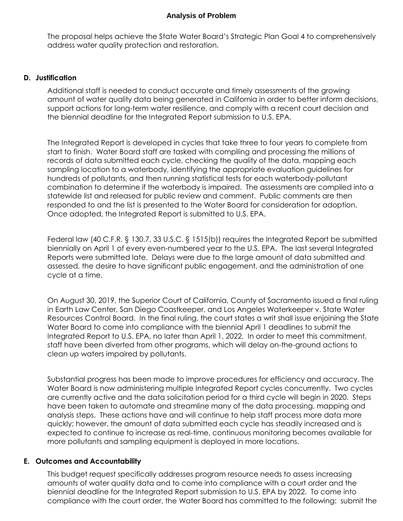#### **Analysis of Problem**

The proposal helps achieve the State Water Board's Strategic Plan Goal 4 to comprehensively address water quality protection and restoration.

#### **D. Justification**

Additional staff is needed to conduct accurate and timely assessments of the growing amount of water quality data being generated in California in order to better inform decisions, support actions for long-term water resilience, and comply with a recent court decision and the biennial deadline for the Integrated Report submission to U.S. EPA.

The Integrated Report is developed in cycles that take three to four years to complete from start to finish. Water Board staff are tasked with compiling and processing the millions of records of data submitted each cycle, checking the quality of the data, mapping each sampling location to a waterbody, identifying the appropriate evaluation guidelines for hundreds of pollutants, and then running statistical tests for each waterbody-pollutant combination to determine if the waterbody is impaired. The assessments are compiled into a statewide list and released for public review and comment. Public comments are then responded to and the list is presented to the Water Board for consideration for adoption. Once adopted, the Integrated Report is submitted to U.S. EPA.

Federal law (40 C.F.R. § 130.7, 33 U.S.C. § 1515(b)) requires the Integrated Report be submitted biennially on April 1 of every even-numbered year to the U.S. EPA. The last several Integrated Reports were submitted late. Delays were due to the large amount of data submitted and assessed, the desire to have significant public engagement, and the administration of one cycle at a time.

On August 30, 2019, the Superior Court of California, County of Sacramento issued a final ruling in Earth Law Center, San Diego Coastkeeper, and Los Angeles Waterkeeper v. State Water Resources Control Board. In the final ruling, the court states a writ shall issue enjoining the State Water Board to come into compliance with the biennial April 1 deadlines to submit the Integrated Report to U.S. EPA, no later than April 1, 2022. In order to meet this commitment, staff have been diverted from other programs, which will delay on-the-ground actions to clean up waters impaired by pollutants.

Substantial progress has been made to improve procedures for efficiency and accuracy. The Water Board is now administering multiple Integrated Report cycles concurrently. Two cycles are currently active and the data solicitation period for a third cycle will begin in 2020. Steps have been taken to automate and streamline many of the data processing, mapping and analysis steps. These actions have and will continue to help staff process more data more quickly; however, the amount of data submitted each cycle has steadily increased and is expected to continue to increase as real-time, continuous monitoring becomes available for more pollutants and sampling equipment is deployed in more locations.

### **E. Outcomes and Accountability**

This budget request specifically addresses program resource needs to assess increasing amounts of water quality data and to come into compliance with a court order and the biennial deadline for the Integrated Report submission to U.S. EPA by 2022. To come into compliance with the court order, the Water Board has committed to the following: submit the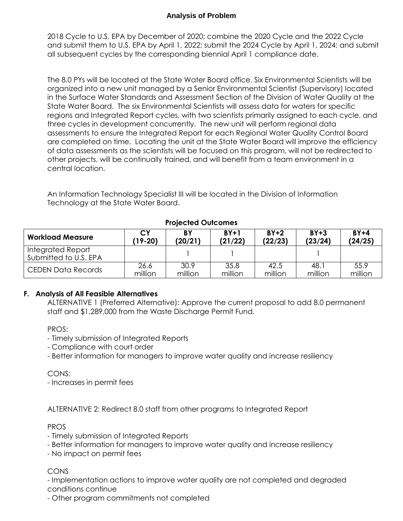# **Analysis of Problem**

2018 Cycle to U.S. EPA by December of 2020; combine the 2020 Cycle and the 2022 Cycle and submit them to U.S. EPA by April 1, 2022; submit the 2024 Cycle by April 1, 2024; and submit all subsequent cycles by the corresponding biennial April 1 compliance date.

The 8.0 PYs will be located at the State Water Board office. Six Environmental Scientists will be organized into a new unit managed by a Senior Environmental Scientist (Supervisory) located in the Surface Water Standards and Assessment Section of the Division of Water Quality at the State Water Board. The six Environmental Scientists will assess data for waters for specific regions and Integrated Report cycles, with two scientists primarily assigned to each cycle, and three cycles in development concurrently. The new unit will perform regional data assessments to ensure the Integrated Report for each Regional Water Quality Control Board are completed on time. Locating the unit at the State Water Board will improve the efficiency of data assessments as the scientists will be focused on this program, will not be redirected to other projects, will be continually trained, and will benefit from a team environment in a central location.

An Information Technology Specialist III will be located in the Division of Information Technology at the State Water Board.

| <b>Workload Measure</b>                    | СY        | BY      | $BY+1$  | $BY+2$  | $BY + 3$ | $BY+4$  |
|--------------------------------------------|-----------|---------|---------|---------|----------|---------|
|                                            | $(19-20)$ | (20/21) | (21/22) | (22/23) | (23/24)  | (24/25) |
| Integrated Report<br>Submitted to U.S. EPA |           |         |         |         |          |         |
| <b>CEDEN Data Records</b>                  | 26.6      | 30.9    | 35.8    | 42.5    | 48.1     | 55.9    |
|                                            | million   | million | million | million | million  | million |

**Projected Outcomes** 

### **F. Analysis of All Feasible Alternatives**

ALTERNATIVE 1 (Preferred Alternative): Approve the current proposal to add 8.0 permanent staff and \$1,289,000 from the Waste Discharge Permit Fund.

PROS:

- Timely submission of Integrated Reports
- Compliance with court order
- Better information for managers to improve water quality and increase resiliency

CONS:

- Increases in permit fees

ALTERNATIVE 2: Redirect 8.0 staff from other programs to Integrated Report

# PROS

- Timely submission of Integrated Reports
- Better information for managers to improve water quality and increase resiliency
- No impact on permit fees

### CONS

- Implementation actions to improve water quality are not completed and degraded conditions continue

- Other program commitments not completed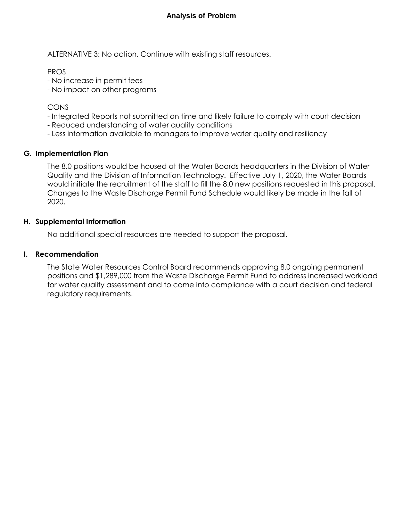ALTERNATIVE 3: No action. Continue with existing staff resources.

PROS

- No increase in permit fees

- No impact on other programs

CONS

- Integrated Reports not submitted on time and likely failure to comply with court decision
- Reduced understanding of water quality conditions
- Less information available to managers to improve water quality and resiliency

# **G. Implementation Plan**

The 8.0 positions would be housed at the Water Boards headquarters in the Division of Water Quality and the Division of Information Technology. Effective July 1, 2020, the Water Boards would initiate the recruitment of the staff to fill the 8.0 new positions requested in this proposal. Changes to the Waste Discharge Permit Fund Schedule would likely be made in the fall of 2020.

# **H. Supplemental Information**

No additional special resources are needed to support the proposal.

# **I. Recommendation**

The State Water Resources Control Board recommends approving 8.0 ongoing permanent positions and \$1,289,000 from the Waste Discharge Permit Fund to address increased workload for water quality assessment and to come into compliance with a court decision and federal regulatory requirements.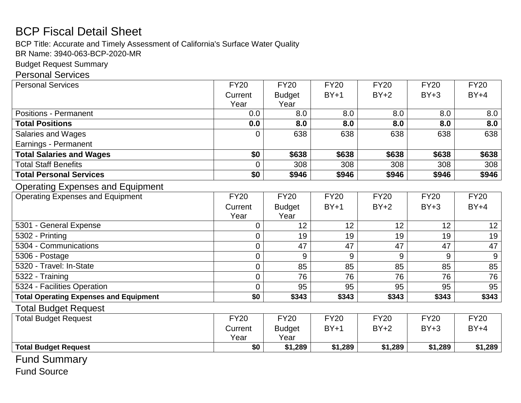# BCP Fiscal Detail Sheet

BCP Title: Accurate and Timely Assessment of California's Surface Water Quality

BR Name: 3940-063-BCP-2020-MR

Budget Request Summary

# Personal Services

| <b>Personal Services</b>                      | <b>FY20</b>     | <b>FY20</b>   | <b>FY20</b> | <b>FY20</b> | <b>FY20</b> | <b>FY20</b> |
|-----------------------------------------------|-----------------|---------------|-------------|-------------|-------------|-------------|
|                                               | Current         | <b>Budget</b> | $BY+1$      | $BY+2$      | $BY+3$      | $BY+4$      |
|                                               | Year            | Year          |             |             |             |             |
| <b>Positions - Permanent</b>                  | 0.0             | 8.0           | 8.0         | 8.0         | 8.0         | 8.0         |
| <b>Total Positions</b>                        | 0.0             | 8.0           | 8.0         | 8.0         | 8.0         | 8.0         |
| <b>Salaries and Wages</b>                     | $\Omega$        | 638           | 638         | 638         | 638         | 638         |
| Earnings - Permanent                          |                 |               |             |             |             |             |
| <b>Total Salaries and Wages</b>               | \$0             | \$638         | \$638       | \$638       | \$638       | \$638       |
| <b>Total Staff Benefits</b>                   | 0               | 308           | 308         | 308         | 308         | 308         |
| <b>Total Personal Services</b>                | $\overline{50}$ | \$946         | \$946       | \$946       | \$946       | \$946       |
| <b>Operating Expenses and Equipment</b>       |                 |               |             |             |             |             |
| <b>Operating Expenses and Equipment</b>       | <b>FY20</b>     | <b>FY20</b>   | <b>FY20</b> | <b>FY20</b> | <b>FY20</b> | <b>FY20</b> |
|                                               | Current         | <b>Budget</b> | $BY+1$      | $BY+2$      | $BY+3$      | $BY+4$      |
|                                               | Year            | Year          |             |             |             |             |
| 5301 - General Expense                        | $\overline{0}$  | 12            | 12          | 12          | 12          | 12          |
| 5302 - Printing                               | $\mathbf 0$     | 19            | 19          | 19          | 19          | 19          |
| 5304 - Communications                         | $\overline{0}$  | 47            | 47          | 47          | 47          | 47          |
| 5306 - Postage                                | $\mathbf 0$     | 9             | 9           | 9           | 9           | 9           |
| 5320 - Travel: In-State                       | $\overline{0}$  | 85            | 85          | 85          | 85          | 85          |
| 5322 - Training                               | $\overline{0}$  | 76            | 76          | 76          | 76          | 76          |
| 5324 - Facilities Operation                   | $\overline{0}$  | 95            | 95          | 95          | 95          | 95          |
| <b>Total Operating Expenses and Equipment</b> | \$0             | \$343         | \$343       | \$343       | \$343       | \$343       |
| <b>Total Budget Request</b>                   |                 |               |             |             |             |             |
| <b>Total Budget Request</b>                   | <b>FY20</b>     | <b>FY20</b>   | <b>FY20</b> | <b>FY20</b> | <b>FY20</b> | <b>FY20</b> |
|                                               | Current         | <b>Budget</b> | $BY+1$      | $BY+2$      | $BY+3$      | $BY+4$      |
|                                               | Year            | Year          |             |             |             |             |
| <b>Total Budget Request</b>                   | \$0             | \$1,289       | \$1,289     | \$1,289     | \$1,289     | \$1,289     |

Fund Summary

Fund Source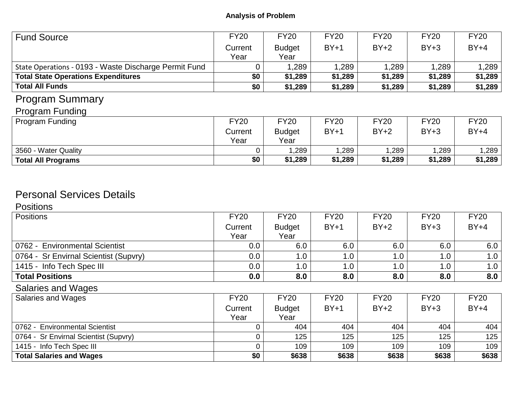| <b>Fund Source</b>                                    | <b>FY20</b> | <b>FY20</b>   | <b>FY20</b> | <b>FY20</b> | <b>FY20</b> | <b>FY20</b> |  |
|-------------------------------------------------------|-------------|---------------|-------------|-------------|-------------|-------------|--|
|                                                       | Current     | <b>Budget</b> | $BY+1$      | $BY+2$      | $BY+3$      | $BY+4$      |  |
|                                                       | Year        | Year          |             |             |             |             |  |
| State Operations - 0193 - Waste Discharge Permit Fund |             | 1,289         | 1,289       | 1,289       | 1,289       | 1,289       |  |
| <b>Total State Operations Expenditures</b>            | \$0         | \$1,289       | \$1,289     | \$1,289     | \$1,289     | \$1,289     |  |
| <b>Total All Funds</b>                                | \$0         | \$1,289       | \$1,289     | \$1,289     | \$1,289     | \$1,289     |  |
| <b>Program Summary</b>                                |             |               |             |             |             |             |  |
| <b>Program Funding</b>                                |             |               |             |             |             |             |  |
| Program Funding                                       | <b>FY20</b> | <b>FY20</b>   | <b>FY20</b> | <b>FY20</b> | <b>FY20</b> | <b>FY20</b> |  |
|                                                       | Current     | <b>Budget</b> | $BY+1$      | $BY+2$      | $BY+3$      | $BY+4$      |  |
|                                                       | Year        | Year          |             |             |             |             |  |
| 3560 - Water Quality                                  |             | 1,289         | 1,289       | 1,289       | 1,289       | 1,289       |  |
| <b>Total All Programs</b>                             | \$0         | \$1,289       | \$1,289     | \$1,289     | \$1,289     | \$1,289     |  |

# Personal Services Details

# **Positions**

| <b>Positions</b>                      | <b>FY20</b> | <b>FY20</b>   | <b>FY20</b> | <b>FY20</b> | <b>FY20</b> | <b>FY20</b> |
|---------------------------------------|-------------|---------------|-------------|-------------|-------------|-------------|
|                                       | Current     | <b>Budget</b> | $BY+1$      | $BY+2$      | $BY+3$      | $BY+4$      |
|                                       | Year        | Year          |             |             |             |             |
| 0762 - Environmental Scientist        | 0.0         | 6.0           | 6.0         | 6.0         | 6.0         | 6.0         |
| 0764 - Sr Envirnal Scientist (Supvry) | 0.0         | 1.0           | 1.0         | 1.0         | 1.0         | 1.0         |
| 1415 - Info Tech Spec III             | 0.0         | 1.0           | 1.0         | 1.0         | 1.0         | 1.0         |
| <b>Total Positions</b>                | 0.0         | 8.0           | 8.0         | 8.0         | 8.0         | 8.0         |
| Salaries and Wages                    |             |               |             |             |             |             |
| <b>Salaries and Wages</b>             | <b>FY20</b> | <b>FY20</b>   | <b>FY20</b> | <b>FY20</b> | <b>FY20</b> | <b>FY20</b> |
|                                       | Current     | <b>Budget</b> | $BY+1$      | $BY+2$      | $BY+3$      | $BY+4$      |
|                                       | Year        | Year          |             |             |             |             |
| 0762 - Environmental Scientist        |             | 404           | 404         | 404         | 404         | 404         |
| 0764 - Sr Envirnal Scientist (Supvry) |             | 125           | 125         | 125         | 125         | 125         |
| 1415 - Info Tech Spec III             | $\Omega$    | 109           | 109         | 109         | 109         | 109         |
| <b>Total Salaries and Wages</b>       | \$0         | \$638         | \$638       | \$638       | \$638       | \$638       |